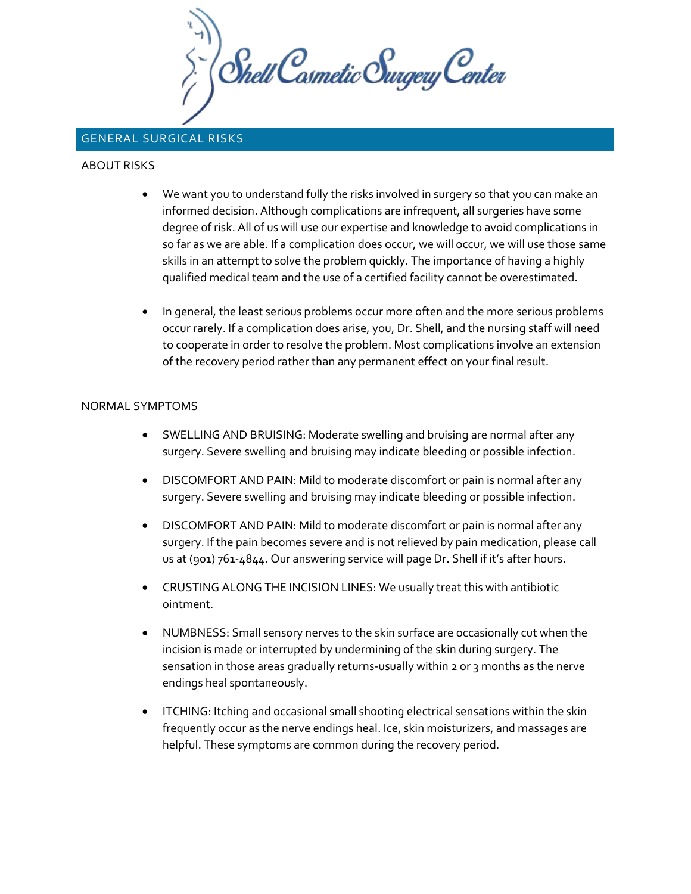Chell Casmetic Surgery Center

## GENERAL SURGICAL RISKS

## ABOUT RISKS

- We want you to understand fully the risks involved in surgery so that you can make an informed decision. Although complications are infrequent, all surgeries have some degree of risk. All of us will use our expertise and knowledge to avoid complications in so far as we are able. If a complication does occur, we will occur, we will use those same skills in an attempt to solve the problem quickly. The importance of having a highly qualified medical team and the use of a certified facility cannot be overestimated.
- In general, the least serious problems occur more often and the more serious problems occur rarely. If a complication does arise, you, Dr. Shell, and the nursing staff will need to cooperate in order to resolve the problem. Most complications involve an extension of the recovery period rather than any permanent effect on your final result.

## NORMAL SYMPTOMS

- SWELLING AND BRUISING: Moderate swelling and bruising are normal after any surgery. Severe swelling and bruising may indicate bleeding or possible infection.
- DISCOMFORT AND PAIN: Mild to moderate discomfort or pain is normal after any surgery. Severe swelling and bruising may indicate bleeding or possible infection.
- DISCOMFORT AND PAIN: Mild to moderate discomfort or pain is normal after any surgery. If the pain becomes severe and is not relieved by pain medication, please call us at (901) 761-4844. Our answering service will page Dr. Shell if it's after hours.
- CRUSTING ALONG THE INCISION LINES: We usually treat this with antibiotic ointment.
- NUMBNESS: Small sensory nerves to the skin surface are occasionally cut when the incision is made or interrupted by undermining of the skin during surgery. The sensation in those areas gradually returns-usually within 2 or 3 months as the nerve endings heal spontaneously.
- ITCHING: Itching and occasional small shooting electrical sensations within the skin frequently occur as the nerve endings heal. Ice, skin moisturizers, and massages are helpful. These symptoms are common during the recovery period.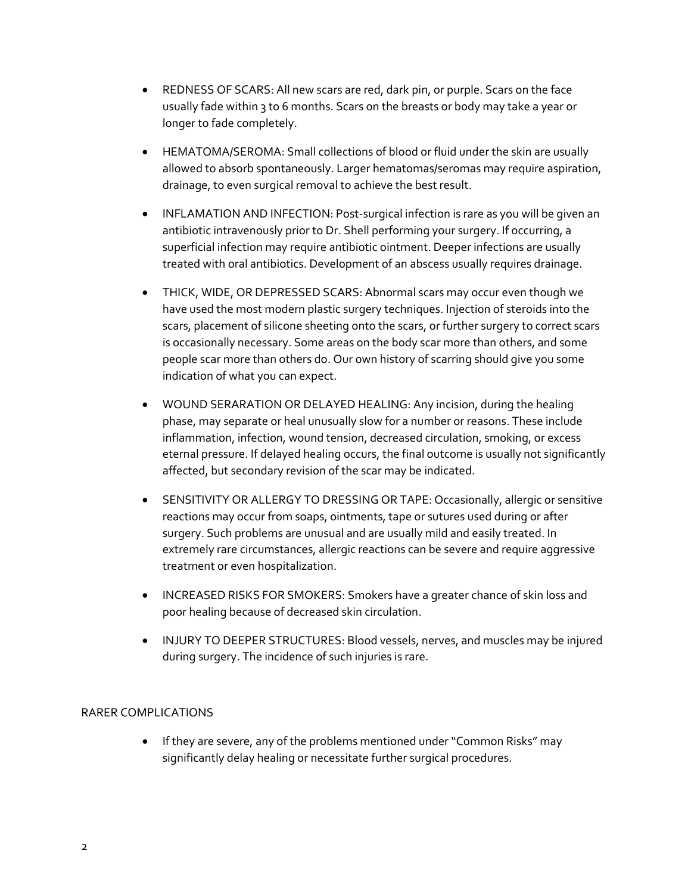- REDNESS OF SCARS: All new scars are red, dark pin, or purple. Scars on the face usually fade within 3 to 6 months. Scars on the breasts or body may take a year or longer to fade completely.
- HEMATOMA/SEROMA: Small collections of blood or fluid under the skin are usually allowed to absorb spontaneously. Larger hematomas/seromas may require aspiration, drainage, to even surgical removal to achieve the best result.
- INFLAMATION AND INFECTION: Post-surgical infection is rare as you will be given an antibiotic intravenously prior to Dr. Shell performing your surgery. If occurring, a superficial infection may require antibiotic ointment. Deeper infections are usually treated with oral antibiotics. Development of an abscess usually requires drainage.
- THICK, WIDE, OR DEPRESSED SCARS: Abnormal scars may occur even though we have used the most modern plastic surgery techniques. Injection of steroids into the scars, placement of silicone sheeting onto the scars, or further surgery to correct scars is occasionally necessary. Some areas on the body scar more than others, and some people scar more than others do. Our own history of scarring should give you some indication of what you can expect.
- WOUND SERARATION OR DELAYED HEALING: Any incision, during the healing phase, may separate or heal unusually slow for a number or reasons. These include inflammation, infection, wound tension, decreased circulation, smoking, or excess eternal pressure. If delayed healing occurs, the final outcome is usually not significantly affected, but secondary revision of the scar may be indicated.
- SENSITIVITY OR ALLERGY TO DRESSING OR TAPE: Occasionally, allergic or sensitive reactions may occur from soaps, ointments, tape or sutures used during or after surgery. Such problems are unusual and are usually mild and easily treated. In extremely rare circumstances, allergic reactions can be severe and require aggressive treatment or even hospitalization.
- INCREASED RISKS FOR SMOKERS: Smokers have a greater chance of skin loss and poor healing because of decreased skin circulation.
- INJURY TO DEEPER STRUCTURES: Blood vessels, nerves, and muscles may be injured during surgery. The incidence of such injuries is rare.

## RARER COMPLICATIONS

• If they are severe, any of the problems mentioned under "Common Risks" may significantly delay healing or necessitate further surgical procedures.